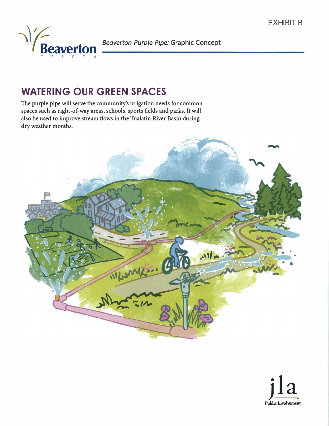

# **WATERING OUR GREEN SPACES**

**The purple pipe will serve the community's irrigation needs for common spaces such as right-of-way areas, schools, sports fields and parks. It will also be used to improve stream flows in the Tualatin River Basin during dry weather months.** 



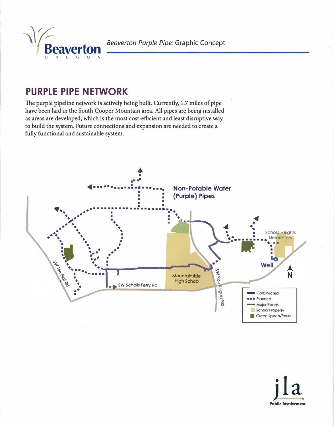Beaverton Purple Pipe: Graphic Concept

# **PURPLE PIPE NETWORK**

0 R E G O N

The purple pipeline network is actively being built. Currently, 1.7 miles of pipe **have been laid in the South Cooper Mountain area. All pipes are being installed as areas are developed, which is the most cost-efficient and least disruptive way to build the system. Future connections and expansion are needed to create a fully functional and sustainable system.** 



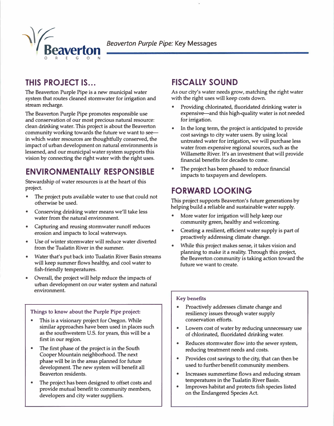

## **THIS PROJECT IS ...**

**The Beaverton Purple Pipe is a new municipal water system that routes cleaned stormwater for irrigation and stream recharge.** 

**The Beaverton Purple Pipe promotes responsible use and conservation of our most precious natural resource: clean drinking water. This project is about the Beaverton community working towards the future we want to seein which water resources are thoughtfully conserved, the impact of urban development on natural environments is lessened, and our municipal water system supports this vision by connecting the right water with the right uses.** 

## **ENVIRONMENTALLY RESPONSIBLE**

**Stewardship of water resources is at the heart of this project.** 

- **• The project puts available water to use that could not otherwise be used.**
- **• Conserving drinking water means we'll take less water from the natural environment.**
- **• Capturing and reusing stormwater runoff reduces erosion and impacts to local waterways.**
- **• Use of winter stormwater will reduce water diverted from the Tualatin River in the summer.**
- **• Water that's put back into Tualatin River Basin streams will keep summer flows healthy, and cool water to fish-friendly temperatures.**
- **• Overall, the project will help reduce the impacts of urban development on our water system and natural environment.**

#### **Things to know about the Purple Pipe project:**

- **• This is a visionary project for Oregon. While similar approaches have been used in places such as the southwestern U.S. for years, this will be a first in our region.**
- **• The first phase of the project is in the South Cooper Mountain neighborhood. The next phase will be in the areas planned for future development. The new system will benefit all Beaverton residents.**
- **• The project has been designed to offset costs and provide mutual benefit to community members, developers and city water suppliers.**

### **FISCALLY SOUND**

**As our city's water needs grow, matching the right water with the right uses will keep costs down.** 

- **• Providing chlorinated, fluoridated drinking water is expensive-and this high-quality water is not needed for irrigation.**
- **• In the long term, the project is anticipated to provide cost savings to city water users. By using local untreated water for irrigation, we will purchase less water from expensive regional sources, such as the Willamette River. It's an investment that will provide financial benefits for decades to come.**
- **• The project has been phased to reduce financial impacts to taxpayers and developers.**

### **FORWARD LOOKING**

**This project supports Beaverton's future generations by helping build a reliable and sustainable water supply.** 

- **• More water for irrigation will help keep our community green, healthy and welcoming.**
- **• Creating a resilient, efficient water supply is part of proactively addressing climate change.**
- **• While this project makes sense, it takes vision and planning to make it a reality. Through this project, the Beaverton community is taking action toward the future we want to create.**

#### **Key benefits**

- **• Proactively addresses climate change and resiliency issues through water supply conservation efforts.**
- **• Lowers cost of water by reducing unnecessary use of chlorinated, fluoridated drinking water.**
- **• Reduces stormwater flow into the sewer system, reducing treatment needs and costs.**
- **• Provides cost savings to the city, that can then be used to further benefit community members.**
- **• Increases summertime flows and reducing stream temperatures in the Tualatin River Basin.**
- **• Improves habitat and protects fish species listed on the Endangered Species Act.**